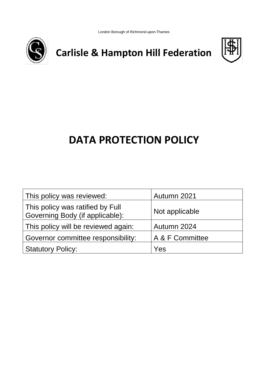London Borough of Richmond-upon-Thames



**Carlisle & Hampton Hill Federation**



# **DATA PROTECTION POLICY**

| This policy was reviewed:                                           | Autumn 2021     |
|---------------------------------------------------------------------|-----------------|
| This policy was ratified by Full<br>Governing Body (if applicable): | Not applicable  |
| This policy will be reviewed again:                                 | Autumn 2024     |
| Governor committee responsibility:                                  | A & F Committee |
| <b>Statutory Policy:</b>                                            | Yes             |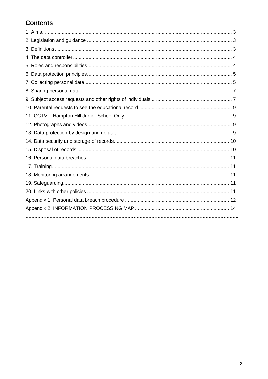# **Contents**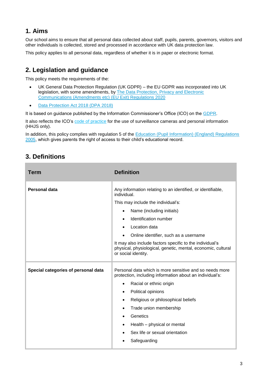### **1. Aims**

Our school aims to ensure that all personal data collected about staff, pupils, parents, governors, visitors and other individuals is collected, stored and processed in accordance with UK data protection law.

This policy applies to all personal data, regardless of whether it is in paper or electronic format.

# **2. Legislation and guidance**

This policy meets the requirements of the:

- UK General Data Protection Regulation (UK GDPR) the EU GDPR was incorporated into UK legislation, with some amendments, by The Data Protection, Privacy and Electronic [Communications \(Amendments etc\) \(EU Exit\) Regulations 2020](https://www.legislation.gov.uk/uksi/2020/1586/made)
- [Data Protection Act 2018 \(DPA 2018\)](http://www.legislation.gov.uk/ukpga/2018/12/contents/enacted)

It is based on guidance published by the Information Commissioner's Office (ICO) on the [GDPR.](https://ico.org.uk/for-organisations/guide-to-the-general-data-protection-regulation-gdpr/)

It also reflects the ICO's [code of practice](https://ico.org.uk/media/for-organisations/documents/1542/cctv-code-of-practice.pdf) for the use of surveillance cameras and personal information (HHJS only).

In addition, this policy complies with regulation 5 of the **Education (Pupil Information) (England) Regulations** [2005,](http://www.legislation.gov.uk/uksi/2005/1437/regulation/5/made) which gives parents the right of access to their child's educational record.

# **3. Definitions**

| Term                                | <b>Definition</b>                                                                                                                                                                                                                                                                                                                                                                                                          |
|-------------------------------------|----------------------------------------------------------------------------------------------------------------------------------------------------------------------------------------------------------------------------------------------------------------------------------------------------------------------------------------------------------------------------------------------------------------------------|
| <b>Personal data</b>                | Any information relating to an identified, or identifiable,<br>individual.<br>This may include the individual's:<br>Name (including initials)<br>$\bullet$<br>Identification number<br>$\bullet$<br>Location data<br>Online identifier, such as a username<br>$\bullet$<br>It may also include factors specific to the individual's<br>physical, physiological, genetic, mental, economic, cultural<br>or social identity. |
| Special categories of personal data | Personal data which is more sensitive and so needs more<br>protection, including information about an individual's:<br>Racial or ethnic origin<br>$\bullet$<br>Political opinions<br>٠<br>Religious or philosophical beliefs<br>Trade union membership<br>$\bullet$<br>Genetics<br>$\bullet$<br>Health - physical or mental<br>٠<br>Sex life or sexual orientation<br>$\bullet$<br>Safeguarding                            |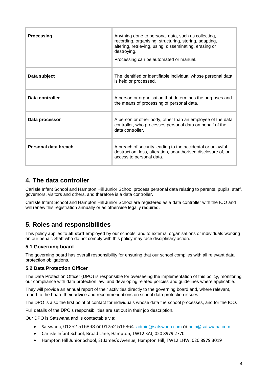| <b>Processing</b>    | Anything done to personal data, such as collecting,<br>recording, organising, structuring, storing, adapting,<br>altering, retrieving, using, disseminating, erasing or<br>destroying.<br>Processing can be automated or manual. |
|----------------------|----------------------------------------------------------------------------------------------------------------------------------------------------------------------------------------------------------------------------------|
| Data subject         | The identified or identifiable individual whose personal data<br>is held or processed.                                                                                                                                           |
| Data controller      | A person or organisation that determines the purposes and<br>the means of processing of personal data.                                                                                                                           |
| Data processor       | A person or other body, other than an employee of the data<br>controller, who processes personal data on behalf of the<br>data controller.                                                                                       |
| Personal data breach | A breach of security leading to the accidental or unlawful<br>destruction, loss, alteration, unauthorised disclosure of, or<br>access to personal data.                                                                          |

# **4. The data controller**

Carlisle Infant School and Hampton Hill Junior School process personal data relating to parents, pupils, staff, governors, visitors and others, and therefore is a data controller.

Carlisle Infant School and Hampton Hill Junior School are registered as a data controller with the ICO and will renew this registration annually or as otherwise legally required.

# **5. Roles and responsibilities**

This policy applies to **all staff** employed by our schools, and to external organisations or individuals working on our behalf. Staff who do not comply with this policy may face disciplinary action.

#### **5.1 Governing board**

The governing board has overall responsibility for ensuring that our school complies with all relevant data protection obligations.

#### **5.2 Data Protection Officer**

The Data Protection Officer (DPO) is responsible for overseeing the implementation of this policy, monitoring our compliance with data protection law, and developing related policies and guidelines where applicable.

They will provide an annual report of their activities directly to the governing board and, where relevant, report to the board their advice and recommendations on school data protection issues.

The DPO is also the first point of contact for individuals whose data the school processes, and for the ICO.

Full details of the DPO's responsibilities are set out in their job description.

Our DPO is Satswana and is contactable via:

- Satswana, 01252 516898 or 01252 516864. [admin@satswana.com](mailto:admin@satswana.com) or [help@satswana.com](mailto:help@satswana.com).
- Carlisle Infant School, Broad Lane, Hampton, TW12 3AJ, 020 8979 2770
- Hampton Hill Junior School, St James's Avenue, Hampton Hill, TW12 1HW, 020 8979 3019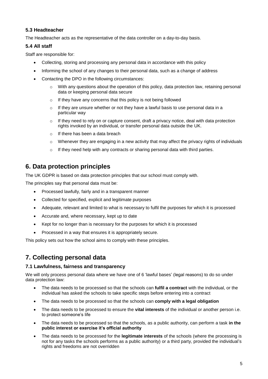#### **5.3 Headteacher**

The Headteacher acts as the representative of the data controller on a day-to-day basis.

#### **5.4 All staff**

Staff are responsible for:

- Collecting, storing and processing any personal data in accordance with this policy
- Informing the school of any changes to their personal data, such as a change of address
- Contacting the DPO in the following circumstances:
	- $\circ$  With any questions about the operation of this policy, data protection law, retaining personal data or keeping personal data secure
	- o If they have any concerns that this policy is not being followed
	- $\circ$  If they are unsure whether or not they have a lawful basis to use personal data in a particular way
	- o If they need to rely on or capture consent, draft a privacy notice, deal with data protection rights invoked by an individual, or transfer personal data outside the UK.
	- o If there has been a data breach
	- $\circ$  Whenever they are engaging in a new activity that may affect the privacy rights of individuals
	- o If they need help with any contracts or sharing personal data with third parties.

# **6. Data protection principles**

The UK GDPR is based on data protection principles that our school must comply with.

The principles say that personal data must be:

- Processed lawfully, fairly and in a transparent manner
- Collected for specified, explicit and legitimate purposes
- Adequate, relevant and limited to what is necessary to fulfil the purposes for which it is processed
- Accurate and, where necessary, kept up to date
- Kept for no longer than is necessary for the purposes for which it is processed
- Processed in a way that ensures it is appropriately secure.

This policy sets out how the school aims to comply with these principles.

# **7. Collecting personal data**

#### **7.1 Lawfulness, fairness and transparency**

We will only process personal data where we have one of 6 'lawful bases' (legal reasons) to do so under data protection law:

- The data needs to be processed so that the schools can **fulfil a contract** with the individual, or the individual has asked the schools to take specific steps before entering into a contract
- The data needs to be processed so that the schools can **comply with a legal obligation**
- The data needs to be processed to ensure the **vital interests** of the individual or another person i.e. to protect someone's life
- The data needs to be processed so that the schools, as a public authority, can perform a task **in the public interest or exercise it's official authority**
- The data needs to be processed for the **legitimate interests** of the schools (where the processing is not for any tasks the schools performs as a public authority) or a third party, provided the individual's rights and freedoms are not overridden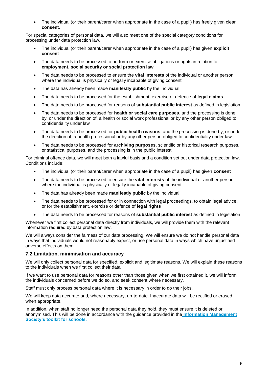The individual (or their parent/carer when appropriate in the case of a pupil) has freely given clear **consent**.

For special categories of personal data, we will also meet one of the special category conditions for processing under data protection law.

- The individual (or their parent/carer when appropriate in the case of a pupil) has given **explicit consent**
- The data needs to be processed to perform or exercise obligations or rights in relation to **employment, social security or social protection law**
- The data needs to be processed to ensure the **vital interests** of the individual or another person, where the individual is physically or legally incapable of giving consent
- The data has already been made **manifestly public** by the individual
- The data needs to be processed for the establishment, exercise or defence of **legal claims**
- The data needs to be processed for reasons of **substantial public interest** as defined in legislation
- The data needs to be processed for **health or social care purposes**, and the processing is done by, or under the direction of, a health or social work professional or by any other person obliged to confidentiality under law
- The data needs to be processed for **public health reasons**, and the processing is done by, or under the direction of, a health professional or by any other person obliged to confidentiality under law
- The data needs to be processed for **archiving purposes**, scientific or historical research purposes, or statistical purposes, and the processing is in the public interest

For criminal offence data, we will meet both a lawful basis and a condition set out under data protection law. Conditions include:

- The individual (or their parent/carer when appropriate in the case of a pupil) has given **consent**
- The data needs to be processed to ensure the **vital interests** of the individual or another person, where the individual is physically or legally incapable of giving consent
- The data has already been made **manifestly public** by the individual
- The data needs to be processed for or in connection with legal proceedings, to obtain legal advice, or for the establishment, exercise or defence of **legal rights**
- The data needs to be processed for reasons of **substantial public interest** as defined in legislation

Whenever we first collect personal data directly from individuals, we will provide them with the relevant information required by data protection law.

We will always consider the fairness of our data processing. We will ensure we do not handle personal data in ways that individuals would not reasonably expect, or use personal data in ways which have unjustified adverse effects on them.

#### **7.2 Limitation, minimisation and accuracy**

We will only collect personal data for specified, explicit and legitimate reasons. We will explain these reasons to the individuals when we first collect their data.

If we want to use personal data for reasons other than those given when we first obtained it, we will inform the individuals concerned before we do so, and seek consent where necessary.

Staff must only process personal data where it is necessary in order to do their jobs.

We will keep data accurate and, where necessary, up-to-date. Inaccurate data will be rectified or erased when appropriate.

In addition, when staff no longer need the personal data they hold, they must ensure it is deleted or anonymised. This will be done in accordance with the guidance provided in the **[Information Management](https://irms.org.uk/page/schoolstoolkit?&terms=%22toolkit+and+schools%22)  [Society's toolkit for schools.](https://irms.org.uk/page/schoolstoolkit?&terms=%22toolkit+and+schools%22)**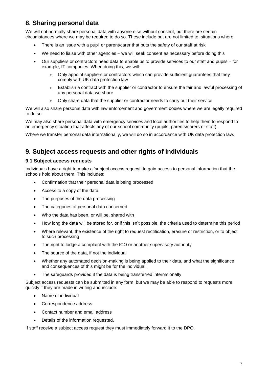# **8. Sharing personal data**

We will not normally share personal data with anyone else without consent, but there are certain circumstances where we may be required to do so. These include but are not limited to, situations where:

- There is an issue with a pupil or parent/carer that puts the safety of our staff at risk
- We need to liaise with other agencies we will seek consent as necessary before doing this
- Our suppliers or contractors need data to enable us to provide services to our staff and pupils for example, IT companies. When doing this, we will:
	- $\circ$  Only appoint suppliers or contractors which can provide sufficient guarantees that they comply with UK data protection law
	- $\circ$  Establish a contract with the supplier or contractor to ensure the fair and lawful processing of any personal data we share
	- o Only share data that the supplier or contractor needs to carry out their service

We will also share personal data with law enforcement and government bodies where we are legally required to do so.

We may also share personal data with emergency services and local authorities to help them to respond to an emergency situation that affects any of our school community (pupils, parents/carers or staff).

Where we transfer personal data internationally, we will do so in accordance with UK data protection law.

# **9. Subject access requests and other rights of individuals**

#### **9.1 Subject access requests**

Individuals have a right to make a 'subject access request' to gain access to personal information that the schools hold about them. This includes:

- Confirmation that their personal data is being processed
- Access to a copy of the data
- The purposes of the data processing
- The categories of personal data concerned
- Who the data has been, or will be, shared with
- How long the data will be stored for, or if this isn't possible, the criteria used to determine this period
- Where relevant, the existence of the right to request rectification, erasure or restriction, or to object to such processing
- The right to lodge a complaint with the ICO or another supervisory authority
- The source of the data, if not the individual
- Whether any automated decision-making is being applied to their data, and what the significance and consequences of this might be for the individual.
- The safeguards provided if the data is being transferred internationally

Subject access requests can be submitted in any form, but we may be able to respond to requests more quickly if they are made in writing and include:

- Name of individual
- Correspondence address
- Contact number and email address
- Details of the information requested.

If staff receive a subject access request they must immediately forward it to the DPO.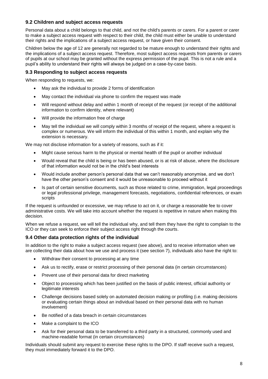#### **9.2 Children and subject access requests**

Personal data about a child belongs to that child, and not the child's parents or carers. For a parent or carer to make a subject access request with respect to their child, the child must either be unable to understand their rights and the implications of a subject access request, or have given their consent.

Children below the age of 12 are generally not regarded to be mature enough to understand their rights and the implications of a subject access request. Therefore, most subject access requests from parents or carers of pupils at our school may be granted without the express permission of the pupil. This is not a rule and a pupil's ability to understand their rights will always be judged on a case-by-case basis.

#### **9.3 Responding to subject access requests**

When responding to requests, we:

- May ask the individual to provide 2 forms of identification
- May contact the individual via phone to confirm the request was made
- Will respond without delay and within 1 month of receipt of the request (or receipt of the additional information to confirm identity, where relevant)
- Will provide the information free of charge
- May tell the individual we will comply within 3 months of receipt of the request, where a request is complex or numerous. We will inform the individual of this within 1 month, and explain why the extension is necessary.

We may not disclose information for a variety of reasons, such as if it:

- Might cause serious harm to the physical or mental health of the pupil or another individual
- Would reveal that the child is being or has been abused, or is at risk of abuse, where the disclosure of that information would not be in the child's best interests
- Would include another person's personal data that we can't reasonably anonymise, and we don't have the other person's consent and it would be unreasonable to proceed without it
- Is part of certain sensitive documents, such as those related to crime, immigration, legal proceedings or legal professional privilege, management forecasts, negotiations, confidential references, or exam scripts

If the request is unfounded or excessive, we may refuse to act on it, or charge a reasonable fee to cover administrative costs. We will take into account whether the request is repetitive in nature when making this decision.

When we refuse a request, we will tell the individual why, and tell them they have the right to complain to the ICO or they can seek to enforce their subject access right through the courts.

#### **9.4 Other data protection rights of the individual**

In addition to the right to make a subject access request (see above), and to receive information when we are collecting their data about how we use and process it (see section 7), individuals also have the right to:

- Withdraw their consent to processing at any time
- Ask us to rectify, erase or restrict processing of their personal data (in certain circumstances)
- Prevent use of their personal data for direct marketing
- Object to processing which has been justified on the basis of public interest, official authority or legitimate interests
- Challenge decisions based solely on automated decision making or profiling (i.e. making decisions or evaluating certain things about an individual based on their personal data with no human involvement)
- Be notified of a data breach in certain circumstances
- Make a complaint to the ICO
- Ask for their personal data to be transferred to a third party in a structured, commonly used and machine-readable format (in certain circumstances)

Individuals should submit any request to exercise these rights to the DPO. If staff receive such a request, they must immediately forward it to the DPO.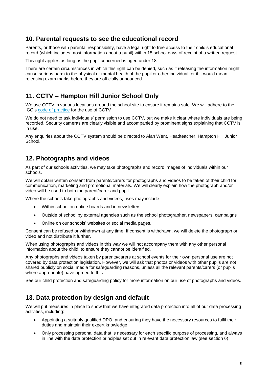### **10. Parental requests to see the educational record**

Parents, or those with parental responsibility, have a legal right to free access to their child's educational record (which includes most information about a pupil) within 15 school days of receipt of a written request.

This right applies as long as the pupil concerned is aged under 18.

There are certain circumstances in which this right can be denied, such as if releasing the information might cause serious harm to the physical or mental health of the pupil or other individual, or if it would mean releasing exam marks before they are officially announced.

# **11. CCTV – Hampton Hill Junior School Only**

We use CCTV in various locations around the school site to ensure it remains safe. We will adhere to the ICO's [code of practice](https://ico.org.uk/media/for-organisations/documents/1542/cctv-code-of-practice.pdf) for the use of CCTV

We do not need to ask individuals' permission to use CCTV, but we make it clear where individuals are being recorded. Security cameras are clearly visible and accompanied by prominent signs explaining that CCTV is in use.

Any enquiries about the CCTV system should be directed to Alan Went, Headteacher, Hampton Hill Junior School.

### **12. Photographs and videos**

As part of our schools activities, we may take photographs and record images of individuals within our schools.

We will obtain written consent from parents/carers for photographs and videos to be taken of their child for communication, marketing and promotional materials. We will clearly explain how the photograph and/or video will be used to both the parent/carer and pupil.

Where the schools take photographs and videos, uses may include

- Within school on notice boards and in newsletters.
- Outside of school by external agencies such as the school photographer, newspapers, campaigns
- Online on our schools' websites or social media pages.

Consent can be refused or withdrawn at any time. If consent is withdrawn, we will delete the photograph or video and not distribute it further.

When using photographs and videos in this way we will not accompany them with any other personal information about the child, to ensure they cannot be identified.

Any photographs and videos taken by parents/carers at school events for their own personal use are not covered by data protection legislation. However, we will ask that photos or videos with other pupils are not shared publicly on social media for safeguarding reasons, unless all the relevant parents/carers (or pupils where appropriate) have agreed to this.

See our child protection and safeguarding policy for more information on our use of photographs and videos.

# **13. Data protection by design and default**

We will put measures in place to show that we have integrated data protection into all of our data processing activities, including:

- Appointing a suitably qualified DPO, and ensuring they have the necessary resources to fulfil their duties and maintain their expert knowledge
- Only processing personal data that is necessary for each specific purpose of processing, and always in line with the data protection principles set out in relevant data protection law (see section 6)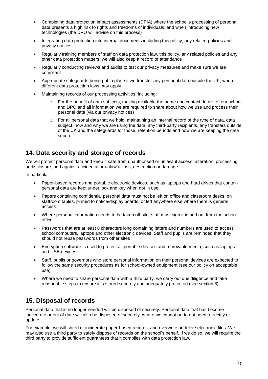- Completing data protection impact assessments (DPIA) where the school's processing of personal data presents a high risk to rights and freedoms of individuals, and when introducing new technologies (the DPO will advise on this process)
- Integrating data protection into internal documents including this policy, any related policies and privacy notices
- Regularly training members of staff on data protection law, this policy, any related policies and any other data protection matters; we will also keep a record of attendance
- Regularly conducting reviews and audits to test our privacy measures and make sure we are compliant
- Appropriate safeguards being put in place if we transfer any personal data outside the UK, where different data protection laws may apply
- Maintaining records of our processing activities, including:
	- $\circ$  For the benefit of data subjects, making available the name and contact details of our school and DPO and all information we are required to share about how we use and process their personal data (via our privacy notices)
	- $\circ$  For all personal data that we hold, maintaining an internal record of the type of data, data subject, how and why we are using the data, any third-party recipients, any transfers outside of the UK and the safeguards for those, retention periods and how we are keeping the data secure

### **14. Data security and storage of records**

We will protect personal data and keep it safe from unauthorised or unlawful access, alteration, processing or disclosure, and against accidental or unlawful loss, destruction or damage.

In particular:

- Paper-based records and portable electronic devices, such as laptops and hard drives that contain personal data are kept under lock and key when not in use
- Papers containing confidential personal data must not be left on office and classroom desks, on staffroom tables, pinned to notice/display boards, or left anywhere else where there is general access
- Where personal information needs to be taken off site, staff must sign it in and out from the school office
- Passwords that are at least 8 characters long containing letters and numbers are used to access school computers, laptops and other electronic devices. Staff and pupils are reminded that they should not reuse passwords from other sites
- Encryption software is used to protect all portable devices and removable media, such as laptops and USB devices
- Staff, pupils or governors who store personal information on their personal devices are expected to follow the same security procedures as for school-owned equipment (see our policy on acceptable use).
- Where we need to share personal data with a third party, we carry out due diligence and take reasonable steps to ensure it is stored securely and adequately protected (see section 8)

# **15. Disposal of records**

Personal data that is no longer needed will be disposed of securely. Personal data that has become inaccurate or out of date will also be disposed of securely, where we cannot or do not need to rectify or update it.

For example, we will shred or incinerate paper-based records, and overwrite or delete electronic files. We may also use a third party to safely dispose of records on the school's behalf. If we do so, we will require the third party to provide sufficient guarantees that it complies with data protection law.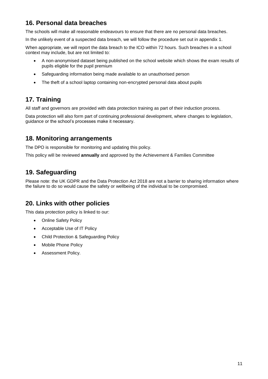# **16. Personal data breaches**

The schools will make all reasonable endeavours to ensure that there are no personal data breaches.

In the unlikely event of a suspected data breach, we will follow the procedure set out in appendix 1.

When appropriate, we will report the data breach to the ICO within 72 hours. Such breaches in a school context may include, but are not limited to:

- A non-anonymised dataset being published on the school website which shows the exam results of pupils eligible for the pupil premium
- Safeguarding information being made available to an unauthorised person
- The theft of a school laptop containing non-encrypted personal data about pupils

# **17. Training**

All staff and governors are provided with data protection training as part of their induction process.

Data protection will also form part of continuing professional development, where changes to legislation, guidance or the school's processes make it necessary.

# **18. Monitoring arrangements**

The DPO is responsible for monitoring and updating this policy.

This policy will be reviewed **annually** and approved by the Achievement & Families Committee

# **19. Safeguarding**

Please note: the UK GDPR and the Data Protection Act 2018 are not a barrier to sharing information where the failure to do so would cause the safety or wellbeing of the individual to be compromised.

# **20. Links with other policies**

This data protection policy is linked to our:

- Online Safety Policy
- Acceptable Use of IT Policy
- Child Protection & Safeguarding Policy
- Mobile Phone Policy
- Assessment Policy.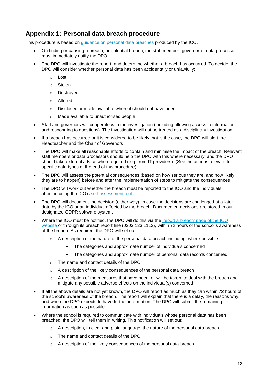# **Appendix 1: Personal data breach procedure**

This procedure is based on [guidance on personal data breaches](https://ico.org.uk/for-organisations/guide-to-the-general-data-protection-regulation-gdpr/personal-data-breaches/) produced by the ICO.

- On finding or causing a breach, or potential breach, the staff member, governor or data processor must immediately notify the DPO
- The DPO will investigate the report, and determine whether a breach has occurred. To decide, the DPO will consider whether personal data has been accidentally or unlawfully:
	- o Lost
	- o Stolen
	- o Destroyed
	- o Altered
	- o Disclosed or made available where it should not have been
	- o Made available to unauthorised people
- Staff and governors will cooperate with the investigation (including allowing access to information and responding to questions). The investigation will not be treated as a disciplinary investigation.
- If a breach has occurred or it is considered to be likely that is the case, the DPO will alert the Headteacher and the Chair of Governors
- The DPO will make all reasonable efforts to contain and minimise the impact of the breach. Relevant staff members or data processors should help the DPO with this where necessary, and the DPO should take external advice when required (e.g. from IT providers). (See the actions relevant to specific data types at the end of this procedure)
- The DPO will assess the potential consequences (based on how serious they are, and how likely they are to happen) before and after the implementation of steps to mitigate the consequences
- The DPO will work out whether the breach must be reported to the ICO and the individuals affected using the ICO's [self-assessment tool](https://ico.org.uk/for-organisations/report-a-breach/personal-data-breach-assessment/)
- The DPO will document the decision (either way), in case the decisions are challenged at a later date by the ICO or an individual affected by the breach. Documented decisions are stored in our designated GDPR software system.
- Where the ICO must be notified, the DPO will do this via the 'report a breach' page of the ICO [website](https://ico.org.uk/for-organisations/report-a-breach/) or through its breach report line (0303 123 1113), within 72 hours of the school's awareness of the breach. As required, the DPO will set out:
	- $\circ$  A description of the nature of the personal data breach including, where possible:
		- The categories and approximate number of individuals concerned
		- The categories and approximate number of personal data records concerned
	- o The name and contact details of the DPO
	- o A description of the likely consequences of the personal data breach
	- $\circ$  A description of the measures that have been, or will be taken, to deal with the breach and mitigate any possible adverse effects on the individual(s) concerned
- If all the above details are not yet known, the DPO will report as much as they can within 72 hours of the school's awareness of the breach. The report will explain that there is a delay, the reasons why, and when the DPO expects to have further information. The DPO will submit the remaining information as soon as possible
- Where the school is required to communicate with individuals whose personal data has been breached, the DPO will tell them in writing. This notification will set out:
	- $\circ$  A description, in clear and plain language, the nature of the personal data breach.
	- o The name and contact details of the DPO
	- o A description of the likely consequences of the personal data breach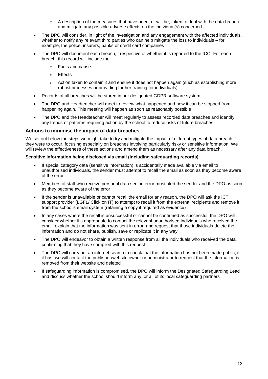- o A description of the measures that have been, or will be, taken to deal with the data breach and mitigate any possible adverse effects on the individual(s) concerned
- The DPO will consider, in light of the investigation and any engagement with the affected individuals, whether to notify any relevant third parties who can help mitigate the loss to individuals – for example, the police, insurers, banks or credit card companies
- The DPO will document each breach, irrespective of whether it is reported to the ICO. For each breach, this record will include the:
	- o Facts and cause
	- o Effects
	- $\circ$  Action taken to contain it and ensure it does not happen again (such as establishing more robust processes or providing further training for individuals)
- Records of all breaches will be stored in our designated GDPR software system.
- The DPO and Headteacher will meet to review what happened and how it can be stopped from happening again. This meeting will happen as soon as reasonably possible
- The DPO and the Headteacher will meet regularly to assess recorded data breaches and identify any trends or patterns requiring action by the school to reduce risks of future breaches

#### **Actions to minimise the impact of data breaches**

We set out below the steps we might take to try and mitigate the impact of different types of data breach if they were to occur, focusing especially on breaches involving particularly risky or sensitive information. We will review the effectiveness of these actions and amend them as necessary after any data breach.

#### **Sensitive information being disclosed via email (including safeguarding records)**

- If special category data (sensitive information) is accidentally made available via email to unauthorised individuals, the sender must attempt to recall the email as soon as they become aware of the error
- Members of staff who receive personal data sent in error must alert the sender and the DPO as soon as they become aware of the error
- If the sender is unavailable or cannot recall the email for any reason, the DPO will ask the ICT support provider (LGFL/ Click on IT) to attempt to recall it from the external recipients and remove it from the school's email system (retaining a copy if required as evidence)
- In any cases where the recall is unsuccessful or cannot be confirmed as successful, the DPO will consider whether it's appropriate to contact the relevant unauthorised individuals who received the email, explain that the information was sent in error, and request that those individuals delete the information and do not share, publish, save or replicate it in any way
- The DPO will endeavor to obtain a written response from all the individuals who received the data, confirming that they have complied with this request
- The DPO will carry out an internet search to check that the information has not been made public; if it has, we will contact the publisher/website owner or administrator to request that the information is removed from their website and deleted
- If safeguarding information is compromised, the DPO will inform the Designated Safeguarding Lead and discuss whether the school should inform any, or all of its local safeguarding partners